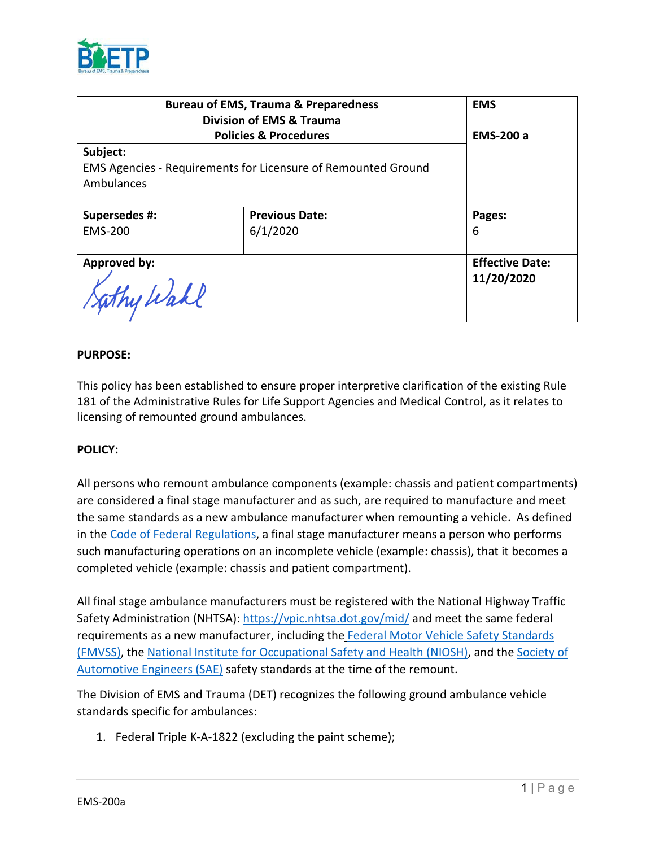

| <b>Bureau of EMS, Trauma &amp; Preparedness</b><br><b>Division of EMS &amp; Trauma</b> |                       | <b>EMS</b>             |
|----------------------------------------------------------------------------------------|-----------------------|------------------------|
| <b>Policies &amp; Procedures</b>                                                       |                       | <b>EMS-200 a</b>       |
| Subject:                                                                               |                       |                        |
| EMS Agencies - Requirements for Licensure of Remounted Ground                          |                       |                        |
| Ambulances                                                                             |                       |                        |
|                                                                                        |                       |                        |
| Supersedes #:                                                                          | <b>Previous Date:</b> | Pages:                 |
| <b>EMS-200</b>                                                                         | 6/1/2020              | 6                      |
|                                                                                        |                       |                        |
| Approved by:                                                                           |                       | <b>Effective Date:</b> |
| Lathy Wahl                                                                             |                       | 11/20/2020             |

### **PURPOSE:**

This policy has been established to ensure proper interpretive clarification of the existing Rule 181 of the Administrative Rules for Life Support Agencies and Medical Control, as it relates to licensing of remounted ground ambulances.

#### **POLICY:**

All persons who remount ambulance components (example: chassis and patient compartments) are considered a final stage manufacturer and as such, are required to manufacture and meet the same standards as a new ambulance manufacturer when remounting a vehicle. As defined in the [Code of Federal Regulations,](https://www.govinfo.gov/content/pkg/CFR-2018-title49-vol6/xml/CFR-2018-title49-vol6-part567.xml) a final stage manufacturer means a person who performs such manufacturing operations on an incomplete vehicle (example: chassis), that it becomes a completed vehicle (example: chassis and patient compartment).

All final stage ambulance manufacturers must be registered with the National Highway Traffic Safety Administration (NHTSA):<https://vpic.nhtsa.dot.gov/mid/> and meet the same federal requirements as a new manufacturer, including the Federal Motor Vehicle Safety Standards [\(FMVSS\),](https://www.nhtsa.gov/laws-regulations/fmvss) the [National Institute for Occupational Safety and Health \(NIOSH\),](https://www.cdc.gov/niosh/index.htm) and the [Society of](https://www.sae.org/)  [Automotive Engineers \(SAE\)](https://www.sae.org/) safety standards at the time of the remount.

The Division of EMS and Trauma (DET) recognizes the following ground ambulance vehicle standards specific for ambulances:

1. Federal Triple K-A-1822 (excluding the paint scheme);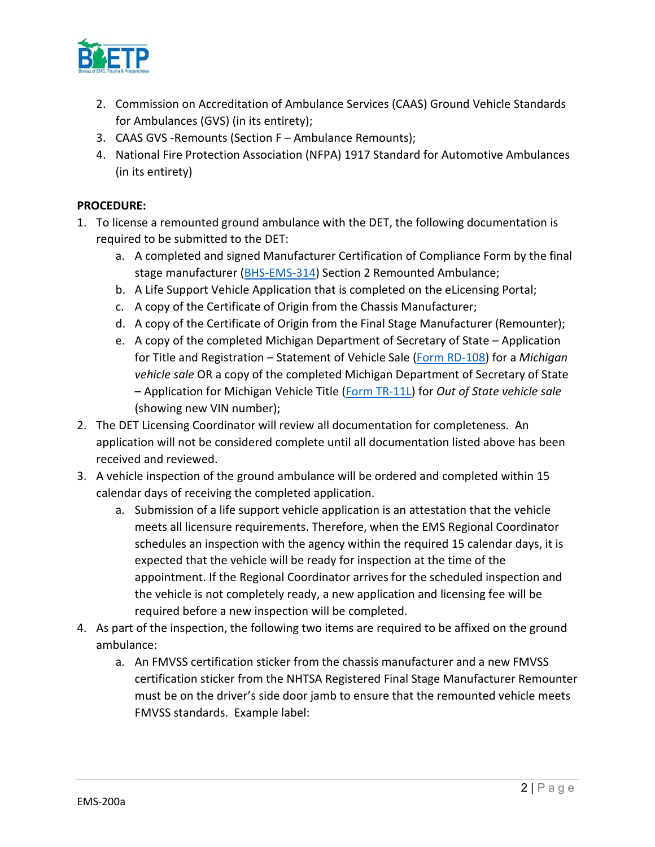

- 2. Commission on Accreditation of Ambulance Services (CAAS) Ground Vehicle Standards for Ambulances (GVS) (in its entirety);
- 3. CAAS GVS -Remounts (Section F Ambulance Remounts);
- 4. National Fire Protection Association (NFPA) 1917 Standard for Automotive Ambulances (in its entirety)

## **PROCEDURE:**

- 1. To license a remounted ground ambulance with the DET, the following documentation is required to be submitted to the DET:
	- a. A completed and signed Manufacturer Certification of Compliance Form by the final stage manufacturer [\(BHS-EMS-314\)](https://www.michigan.gov/documents/mdhhs/BHS-EMS-314_Manufacturers_Cert_of_Compliance_fillable_2_682528_7.pdf) Section 2 Remounted Ambulance;
	- b. A Life Support Vehicle Application that is completed on the eLicensing Portal;
	- c. A copy of the Certificate of Origin from the Chassis Manufacturer;
	- d. A copy of the Certificate of Origin from the Final Stage Manufacturer (Remounter);
	- e. A copy of the completed Michigan Department of Secretary of State Application for Title and Registration – Statement of Vehicle Sale [\(Form RD-108\)](https://www.michigan.gov/documents/sos/RD-108_01.01.2017_545577_7.pdf) for a *Michigan vehicle sale* OR a copy of the completed Michigan Department of Secretary of State – Application for Michigan Vehicle Title [\(Form TR-11L\)](https://www.michigan.gov/documents/tr-11L_16050_7.pdf) for *Out of State vehicle sale* (showing new VIN number);
- 2. The DET Licensing Coordinator will review all documentation for completeness. An application will not be considered complete until all documentation listed above has been received and reviewed.
- 3. A vehicle inspection of the ground ambulance will be ordered and completed within 15 calendar days of receiving the completed application.
	- a. Submission of a life support vehicle application is an attestation that the vehicle meets all licensure requirements. Therefore, when the EMS Regional Coordinator schedules an inspection with the agency within the required 15 calendar days, it is expected that the vehicle will be ready for inspection at the time of the appointment. If the Regional Coordinator arrives for the scheduled inspection and the vehicle is not completely ready, a new application and licensing fee will be required before a new inspection will be completed.
- 4. As part of the inspection, the following two items are required to be affixed on the ground ambulance:
	- a. An FMVSS certification sticker from the chassis manufacturer and a new FMVSS certification sticker from the NHTSA Registered Final Stage Manufacturer Remounter must be on the driver's side door jamb to ensure that the remounted vehicle meets FMVSS standards. Example label: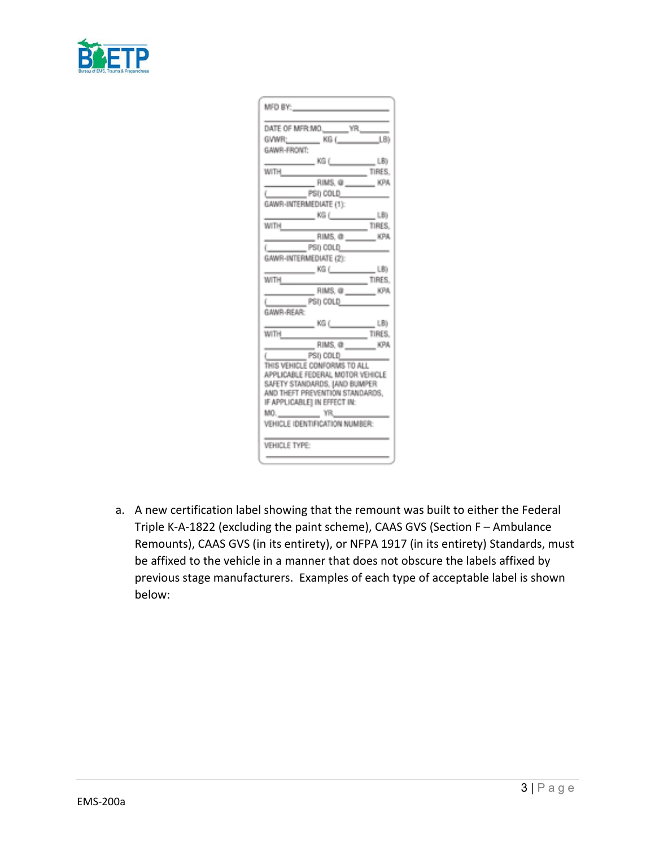

| MFO BY: The contract of the                                      |  |  |
|------------------------------------------------------------------|--|--|
|                                                                  |  |  |
| DATE OF MFR.MO._______ YR._____                                  |  |  |
| GVWR; ________ KG (______________LB)                             |  |  |
| GAWR-FRONT:                                                      |  |  |
| ________________________________LB)                              |  |  |
| <b>WILLIAM</b>                                                   |  |  |
|                                                                  |  |  |
|                                                                  |  |  |
| GAWR-INTERMEDIATE (1):                                           |  |  |
|                                                                  |  |  |
| WITH<br>TIRES<br>$\sim$                                          |  |  |
| RIMS, @ ________ KPA                                             |  |  |
| $($ $PS0$ COLD                                                   |  |  |
| GAWR-INTERMEDIATE (2):                                           |  |  |
| $\sim$ $\sim$ KG ( $\sim$ $\sim$ LB)                             |  |  |
| TIRES<br><b>WITH</b>                                             |  |  |
| $RIMS, @$ $RIMS, @$                                              |  |  |
| GAWR-REAR: PSI) COLD                                             |  |  |
|                                                                  |  |  |
| $\frac{1}{100}$ KG ( LB)                                         |  |  |
| WITH<br>$\overline{\phantom{a}}$ tires.                          |  |  |
| $RIMS, @$ RIMS, $@$ RIMS, $@$                                    |  |  |
| PSI) COLD                                                        |  |  |
| THIS VEHICLE CONFORMS TO ALL.                                    |  |  |
| APPLICABLE FEDERAL MOTOR VEHICLE                                 |  |  |
| SAFETY STANDARDS, JAND BUMPER<br>AND THEFT PREVENTION STANDARDS. |  |  |
| IF APPLICABLE) IN EFFECT IN:                                     |  |  |
| MO. _______________ YR______                                     |  |  |
| VEHICLE IDENTIFICATION NUMBER:                                   |  |  |
|                                                                  |  |  |
| VEHICLE TYPE:                                                    |  |  |
|                                                                  |  |  |
|                                                                  |  |  |

a. A new certification label showing that the remount was built to either the Federal Triple K-A-1822 (excluding the paint scheme), CAAS GVS (Section F – Ambulance Remounts), CAAS GVS (in its entirety), or NFPA 1917 (in its entirety) Standards, must be affixed to the vehicle in a manner that does not obscure the labels affixed by previous stage manufacturers. Examples of each type of acceptable label is shown below: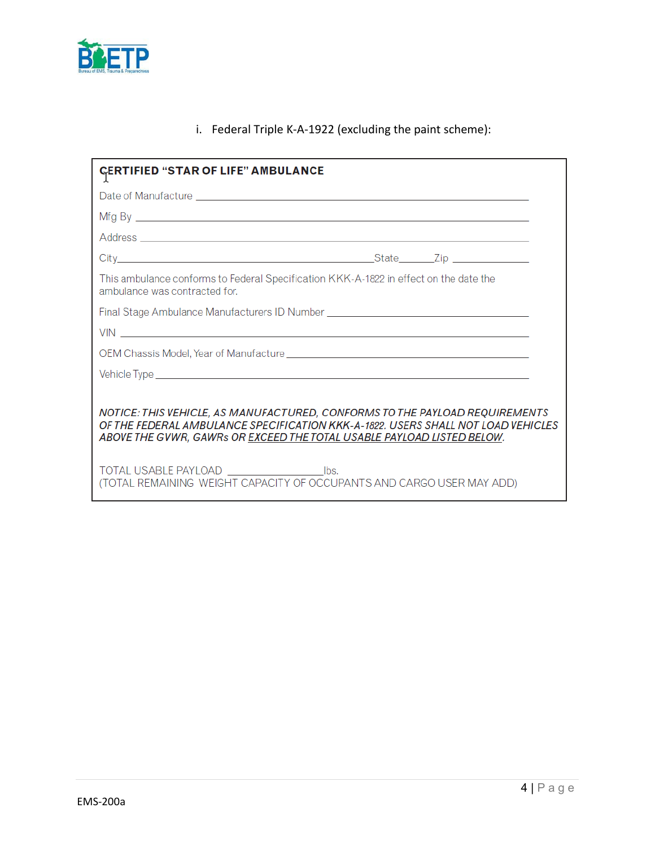

# i. Federal Triple K-A-1922 (excluding the paint scheme):

| <b>CERTIFIED "STAR OF LIFE" AMBULANCE</b>                                                                                                                                                                                                 |  |  |
|-------------------------------------------------------------------------------------------------------------------------------------------------------------------------------------------------------------------------------------------|--|--|
|                                                                                                                                                                                                                                           |  |  |
|                                                                                                                                                                                                                                           |  |  |
|                                                                                                                                                                                                                                           |  |  |
|                                                                                                                                                                                                                                           |  |  |
| This ambulance conforms to Federal Specification KKK-A-1822 in effect on the date the<br>ambulance was contracted for.                                                                                                                    |  |  |
| Final Stage Ambulance Manufacturers ID Number __________________________________                                                                                                                                                          |  |  |
| VIN <b>Contract Contract Contract Contract Contract Contract Contract Contract Contract Contract Contract Contract Contract Contract Contract Contract Contract Contract Contract Contract Contract Contract Contract Contract C</b>      |  |  |
|                                                                                                                                                                                                                                           |  |  |
|                                                                                                                                                                                                                                           |  |  |
|                                                                                                                                                                                                                                           |  |  |
| NOTICE: THIS VEHICLE, AS MANUFACTURED, CONFORMS TO THE PAYLOAD REQUIREMENTS<br>OF THE FEDERAL AMBULANCE SPECIFICATION KKK-A-1892, USERS SHALL NOT LOAD VEHICLES<br>ABOVE THE GVWR, GAWRs OR EXCEED THE TOTAL USABLE PAYLOAD LISTED BELOW. |  |  |
| (TOTAL REMAINING WEIGHT CAPACITY OF OCCUPANTS AND CARGO USER MAY ADD)                                                                                                                                                                     |  |  |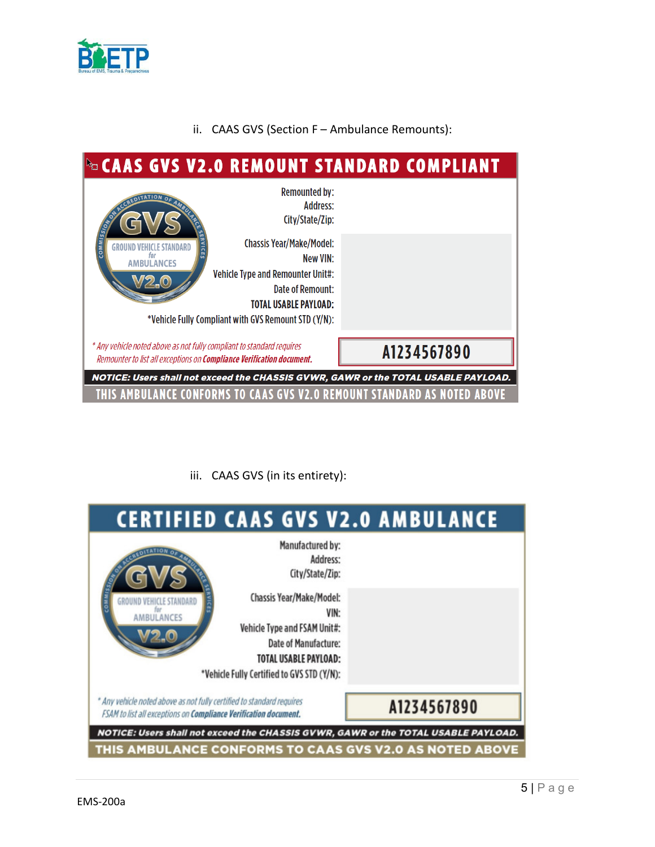

# ii. CAAS GVS (Section F – Ambulance Remounts):



iii. CAAS GVS (in its entirety):